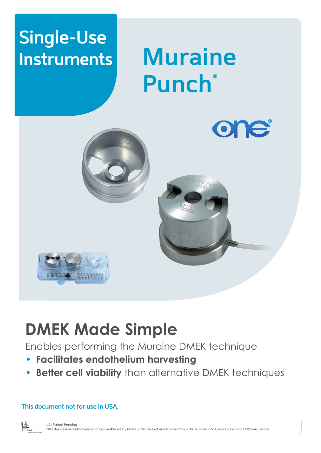## **Single-Use Instruments**

# **Muraine Punch\***



## **DMEK Made Simple**

Enables performing the Muraine DMEK technique

- **Facilitates endothelium harvesting**
- **Better cell viability** than alternative DMEK techniques

### **This document not for use in USA.**